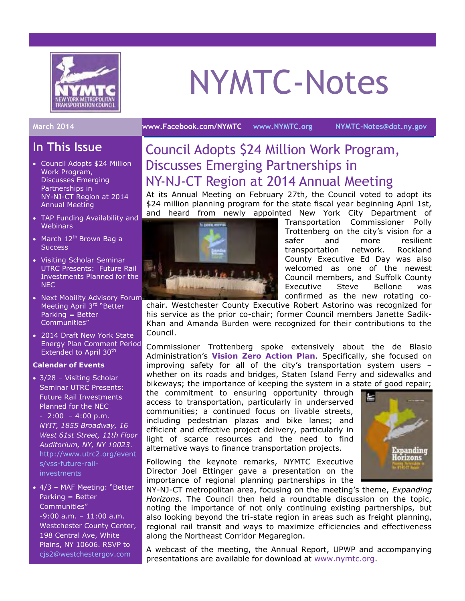

# NYMTC-Notes

#### **March 2014 [www.Facebook.com/NYMTC](http://www.facebook.com/NYMTC) [www.NYMTC.org](http://www.nymtc.org/) [NYMTC-Notes@dot.ny.gov](mailto:NYMTC-Notes@dot.ny.gov)**

## **In This Issue**

- Council Adopts \$24 Million Work Program, Discusses Emerging Partnerships in NY-NJ-CT Region at 2014 Annual Meeting
- TAP Funding Availability and **Webinars**
- March  $12^{th}$  Brown Bag a **Success**
- Visiting Scholar Seminar UTRC Presents: Future Rail Investments Planned for the **NEC**
- Next Mobility Advisory Forum Meeting April 3<sup>rd</sup> "Better Parking = Better Communities"
- 2014 Draft New York State Energy Plan Comment Period Extended to April 30<sup>th</sup>

#### **Calendar of Events**

- 3/28 Visiting Scholar Seminar UTRC Presents: Future Rail Investments Planned for the NEC  $-2:00 - 4:00 \text{ p.m.}$ *NYIT, 1855 Broadway, 16 West 61st Street, 11th Floor Auditorium, NY, NY 10023*. [http://www.utrc2.org/event](http://r20.rs6.net/tn.jsp?f=001p_O-RuoVUUXK-wnolh_XB83cd7fXereKlPpSc6dDvhloP3plvWbJbmFS0RiPjgQHVJwouXY9XhMcdcW6uTVxfOys0WPyzSSv7zUvNsE_XqMV211Bypv5cy4nEJPi2p-isN75P1zk8Ic-Sqx2DBzEM0ajl5gekaqErN18fZkPsCsy5yPcz0DbyW_M_bs9M0Er5Wax24Hi6_5bX5Tf3V-88bXaOiZyof6WBVMzb0xqwAxOHRVqVX7P1c9_-PgnOgLto4p-aj88ifEdw-AWViYgyj0cB3Va5RkSntPiCG-LHtYn5kPMWx7z3NmHSXP5u9M66hfqGyTNdZRLsZOKsXy-gZAoQfXv4-cUCBs_777D599w7drzPshPYIAmdrhapp_9&c=28XNqdANMkaDV1UtYqlAk3oZHFedgboNtAsKQwUKlW0OTZU2jC8GCQ==&ch=1c1veeH0RglRSTP6QPV_C9mNtjHWlTkch-NtrGrqeYqTTEGbQLBN_Q==) [s/vss-future-rail](http://r20.rs6.net/tn.jsp?f=001p_O-RuoVUUXK-wnolh_XB83cd7fXereKlPpSc6dDvhloP3plvWbJbmFS0RiPjgQHVJwouXY9XhMcdcW6uTVxfOys0WPyzSSv7zUvNsE_XqMV211Bypv5cy4nEJPi2p-isN75P1zk8Ic-Sqx2DBzEM0ajl5gekaqErN18fZkPsCsy5yPcz0DbyW_M_bs9M0Er5Wax24Hi6_5bX5Tf3V-88bXaOiZyof6WBVMzb0xqwAxOHRVqVX7P1c9_-PgnOgLto4p-aj88ifEdw-AWViYgyj0cB3Va5RkSntPiCG-LHtYn5kPMWx7z3NmHSXP5u9M66hfqGyTNdZRLsZOKsXy-gZAoQfXv4-cUCBs_777D599w7drzPshPYIAmdrhapp_9&c=28XNqdANMkaDV1UtYqlAk3oZHFedgboNtAsKQwUKlW0OTZU2jC8GCQ==&ch=1c1veeH0RglRSTP6QPV_C9mNtjHWlTkch-NtrGrqeYqTTEGbQLBN_Q==)[investments](http://r20.rs6.net/tn.jsp?f=001p_O-RuoVUUXK-wnolh_XB83cd7fXereKlPpSc6dDvhloP3plvWbJbmFS0RiPjgQHVJwouXY9XhMcdcW6uTVxfOys0WPyzSSv7zUvNsE_XqMV211Bypv5cy4nEJPi2p-isN75P1zk8Ic-Sqx2DBzEM0ajl5gekaqErN18fZkPsCsy5yPcz0DbyW_M_bs9M0Er5Wax24Hi6_5bX5Tf3V-88bXaOiZyof6WBVMzb0xqwAxOHRVqVX7P1c9_-PgnOgLto4p-aj88ifEdw-AWViYgyj0cB3Va5RkSntPiCG-LHtYn5kPMWx7z3NmHSXP5u9M66hfqGyTNdZRLsZOKsXy-gZAoQfXv4-cUCBs_777D599w7drzPshPYIAmdrhapp_9&c=28XNqdANMkaDV1UtYqlAk3oZHFedgboNtAsKQwUKlW0OTZU2jC8GCQ==&ch=1c1veeH0RglRSTP6QPV_C9mNtjHWlTkch-NtrGrqeYqTTEGbQLBN_Q==)
- 4/3 MAF Meeting: "Better Parking = Better Communities" -9:00 a.m. – 11:00 a.m. Westchester County Center, 198 Central Ave, White Plains, NY 10606. RSVP to [cjs2@westchestergov.com](mailto:cjs2@westchestergov.com)

## Council Adopts \$24 Million Work Program, Discusses Emerging Partnerships in NY-NJ-CT Region at 2014 Annual Meeting

At its Annual Meeting on February 27th, the Council voted to adopt its \$24 million planning program for the state fiscal year beginning April 1st, and heard from newly appointed New York City Department of



Transportation Commissioner Polly Trottenberg on the city's vision for a safer and more resilient transportation network. Rockland County Executive Ed Day was also welcomed as one of the newest Council members, and Suffolk County Executive Steve Bellone was confirmed as the new rotating co-

chair. Westchester County Executive Robert Astorino was recognized for his service as the prior co-chair; former Council members Janette Sadik-Khan and Amanda Burden were recognized for their contributions to the Council.

Commissioner Trottenberg spoke extensively about the de Blasio Administration's **[Vision Zero Action Plan](http://www1.nyc.gov/office-of-the-mayor/news/054-14/mayor-de-blasio-releases-vision-zero-action-plan-launching-citywide-effort-prevent-traffic#/0)**. Specifically, she focused on improving safety for all of the city's transportation system users – whether on its roads and bridges, Staten Island Ferry and sidewalks and bikeways; the importance of keeping the system in a state of good repair;

the commitment to ensuring opportunity through access to transportation, particularly in underserved communities; a continued focus on livable streets, including pedestrian plazas and bike lanes; and efficient and effective project delivery, particularly in light of scarce resources and the need to find alternative ways to finance transportation projects.

Following the keynote remarks, NYMTC Executive Director Joel Ettinger gave a presentation on the importance of regional planning partnerships in the

NY-NJ-CT metropolitan area, focusing on the meeting's theme, *Expanding Horizons*. The Council then held a roundtable discussion on the topic, noting the importance of not only continuing existing partnerships, but also looking beyond the tri-state region in areas such as freight planning, regional rail transit and ways to maximize efficiencies and effectiveness along the Northeast Corridor Megaregion.

A webcast of the meeting, the Annual Report, UPWP and accompanying presentations are available for download at [www.nymtc.org.](http://www.nymtc.org/)

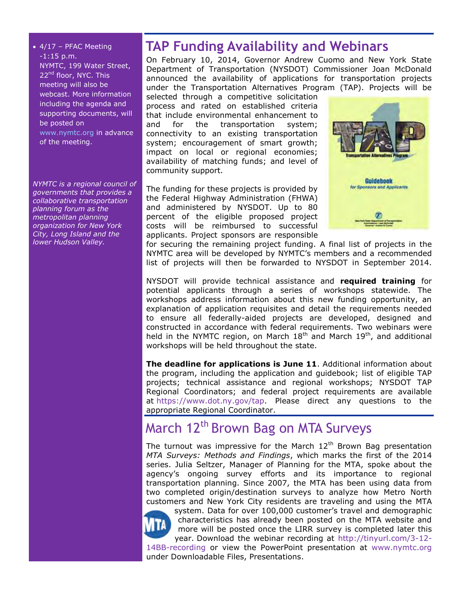$\bullet$  4/17 – PFAC Meeting -1:15 p.m. NYMTC, 199 Water Street, 22<sup>nd</sup> floor, NYC. This meeting will also be webcast. More information including the agenda and supporting documents, will be posted on [www.nymtc.org](http://www.nymtc.org/) in advance of the meeting.

*NYMTC is a regional council of governments that provides a collaborative transportation planning forum as the metropolitan planning organization for New York City, Long Island and the lower Hudson Valley.*

## **TAP Funding Availability and Webinars**

On February 10, 2014, Governor Andrew Cuomo and New York State Department of Transportation (NYSDOT) Commissioner Joan McDonald announced the availability of applications for transportation projects under the Transportation Alternatives Program (TAP). Projects will be

selected through a competitive solicitation process and rated on established criteria that include environmental enhancement to and for the transportation system; connectivity to an existing transportation system; encouragement of smart growth; impact on local or regional economies; availability of matching funds; and level of community support.

The funding for these projects is provided by the Federal Highway Administration (FHWA) and administered by NYSDOT. Up to 80 percent of the eligible proposed project costs will be reimbursed to successful applicants. Project sponsors are responsible



for securing the remaining project funding. A final list of projects in the NYMTC area will be developed by NYMTC's members and a recommended list of projects will then be forwarded to NYSDOT in September 2014.

NYSDOT will provide technical assistance and **required training** for potential applicants through a series of workshops statewide. The workshops address information about this new funding opportunity, an explanation of application requisites and detail the requirements needed to ensure all federally-aided projects are developed, designed and constructed in accordance with federal requirements. Two webinars were held in the NYMTC region, on March 18<sup>th</sup> and March 19<sup>th</sup>, and additional workshops will be held throughout the state.

**The deadline for applications is June 11**. Additional information about the program, including the application and guidebook; list of eligible TAP projects; technical assistance and regional workshops; NYSDOT TAP Regional Coordinators; and federal project requirements are available at [https://www.dot.ny.gov/tap.](https://www.dot.ny.gov/tap) Please direct any questions to the appropriate Regional Coordinator.

# March 12<sup>th</sup> Brown Bag on MTA Surveys

The turnout was impressive for the March  $12<sup>th</sup>$  Brown Bag presentation *MTA Surveys: Methods and Findings*, which marks the first of the 2014 series. Julia Seltzer, Manager of Planning for the MTA, spoke about the agency's ongoing survey efforts and its importance to regional transportation planning. Since 2007, the MTA has been using data from two completed origin/destination surveys to analyze how Metro North customers and New York City residents are traveling and using the MTA



system. Data for over 100,000 customer's travel and demographic characteristics has already been posted on the MTA website and more will be posted once the LIRR survey is completed later this year. Download the webinar recording at [http://tinyurl.com/3-12-](http://tinyurl.com/3-12-14BB-recording) [14BB-recording](http://tinyurl.com/3-12-14BB-recording) or view the PowerPoint presentation at [www.nymtc.org](http://www.nymtc.org/) under Downloadable Files, Presentations.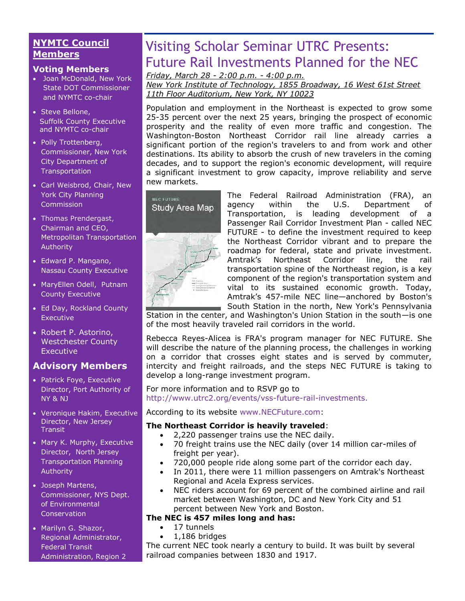## **NYMTC Council Members**

#### **Voting Members**

- Joan McDonald, New York State DOT Commissioner and NYMTC co-chair
- Steve Bellone, Suffolk County Executive and NYMTC co-chair
- Polly Trottenberg, Commissioner, New York City Department of **Transportation**
- Carl Weisbrod, Chair, New York City Planning Commission
- [Thomas Prendergast,](http://www.mta.info/mta/leadership/ferrer.htm) Chairman and CEO, Metropolitan Transportation Authority
- Edward P. Mangano, Nassau County Executive
- MaryEllen Odell, Putnam County Executive
- Ed Day, Rockland County **Executive**
- Robert P. Astorino, Westchester County **Executive**

## **Advisory Members**

- Patrick Foye, Executive Director, Port Authority of NY & NJ
- Veronique Hakim, Executive Director, New Jersey **Transit**
- Mary K. Murphy, Executive Director, North Jersey Transportation Planning Authority
- Joseph Martens, Commissioner, NYS Dept. of Environmental **Conservation**
- Marilyn G. Shazor, Regional Administrator, Federal Transit Administration, Region 2

# Visiting Scholar Seminar UTRC Presents: Future Rail Investments Planned for the NEC

*Friday, March 28 - 2:00 p.m. - 4:00 p.m.*

*New York Institute of Technology, 1855 Broadway, 16 West 61st Street 11th Floor Auditorium, New York, NY 10023*

Population and employment in the Northeast is expected to grow some 25-35 percent over the next 25 years, bringing the prospect of economic prosperity and the reality of even more traffic and congestion. The Washington-Boston Northeast Corridor rail line already carries a significant portion of the region's travelers to and from work and other destinations. Its ability to absorb the crush of new travelers in the coming decades, and to support the region's economic development, will require a significant investment to grow capacity, improve reliability and serve new markets.



The Federal Railroad Administration (FRA), an agency within the U.S. Department of Transportation, is leading development of a Passenger Rail Corridor Investment Plan - called NEC FUTURE - to define the investment required to keep the Northeast Corridor vibrant and to prepare the roadmap for federal, state and private investment. Amtrak's Northeast Corridor line, the rail transportation spine of the Northeast region, is a key component of the region's transportation system and vital to its sustained economic growth. Today, Amtrak's 457-mile NEC line—anchored by Boston's South Station in the north, New York's Pennsylvania

Station in the center, and Washington's Union Station in the south—is one of the most heavily traveled rail corridors in the world.

Rebecca Reyes-Alicea is FRA's program manager for NEC FUTURE. She will describe the nature of the planning process, the challenges in working on a corridor that crosses eight states and is served by commuter, intercity and freight railroads, and the steps NEC FUTURE is taking to develop a long-range investment program.

#### For more information and to RSVP go to [http://www.utrc2.org/events/vss-future-rail-investments.](http://r20.rs6.net/tn.jsp?f=001p_O-RuoVUUXK-wnolh_XB83cd7fXereKlPpSc6dDvhloP3plvWbJbmFS0RiPjgQHVJwouXY9XhMcdcW6uTVxfOys0WPyzSSv7zUvNsE_XqMV211Bypv5cy4nEJPi2p-isN75P1zk8Ic-Sqx2DBzEM0ajl5gekaqErN18fZkPsCsy5yPcz0DbyW_M_bs9M0Er5Wax24Hi6_5bX5Tf3V-88bXaOiZyof6WBVMzb0xqwAxOHRVqVX7P1c9_-PgnOgLto4p-aj88ifEdw-AWViYgyj0cB3Va5RkSntPiCG-LHtYn5kPMWx7z3NmHSXP5u9M66hfqGyTNdZRLsZOKsXy-gZAoQfXv4-cUCBs_777D599w7drzPshPYIAmdrhapp_9&c=28XNqdANMkaDV1UtYqlAk3oZHFedgboNtAsKQwUKlW0OTZU2jC8GCQ==&ch=1c1veeH0RglRSTP6QPV_C9mNtjHWlTkch-NtrGrqeYqTTEGbQLBN_Q==)

#### According to its website [www.NECFuture.com:](http://www.necfuture.com/)

#### **The Northeast Corridor is heavily traveled**:

- 2,220 passenger trains use the NEC daily.
- 70 freight trains use the NEC daily (over 14 million car-miles of freight per year).
- 720,000 people ride along some part of the corridor each day.
- In 2011, there were 11 million passengers on Amtrak's Northeast Regional and Acela Express services.
- NEC riders account for 69 percent of the combined airline and rail market between Washington, DC and New York City and 51 percent between New York and Boston.

### **The NEC is 457 miles long and has:**

- 17 tunnels
- 1,186 bridges

The current NEC took nearly a century to build. It was built by several railroad companies between 1830 and 1917.